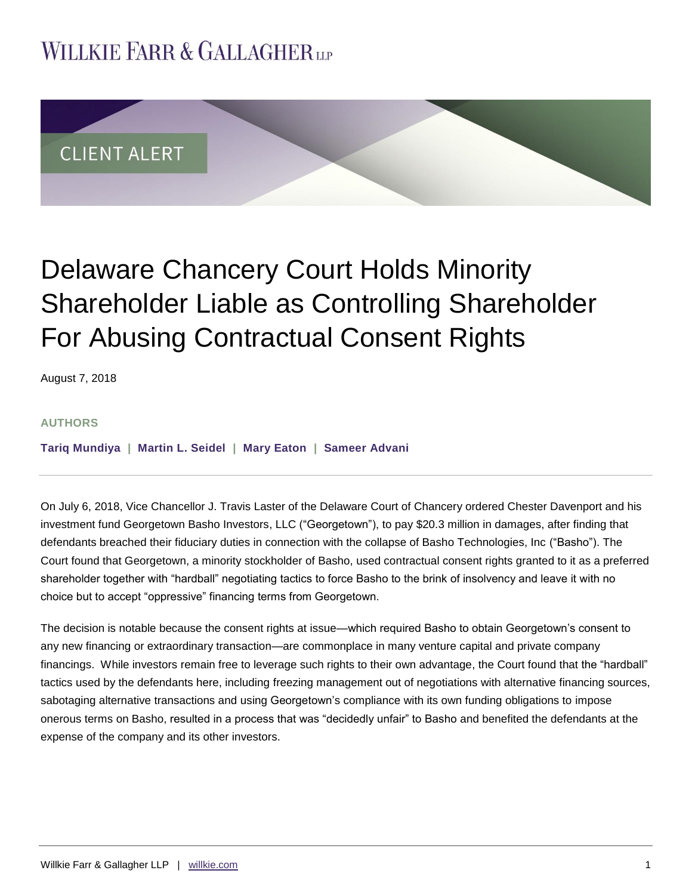## **WILLKIE FARR & GALLAGHERUP**



# Delaware Chancery Court Holds Minority Shareholder Liable as Controlling Shareholder For Abusing Contractual Consent Rights

August 7, 2018

#### **AUTHORS**

**[Tariq Mundiya](https://www.willkie.com/professionals/m/mundiya-tariq) | [Martin L. Seidel](https://www.willkie.com/professionals/s/seidel-martin) | [Mary Eaton](https://www.willkie.com/professionals/e/eaton-mary) | [Sameer Advani](https://www.willkie.com/professionals/a/advani-sameer)**

On July 6, 2018, Vice Chancellor J. Travis Laster of the Delaware Court of Chancery ordered Chester Davenport and his investment fund Georgetown Basho Investors, LLC ("Georgetown"), to pay \$20.3 million in damages, after finding that defendants breached their fiduciary duties in connection with the collapse of Basho Technologies, Inc ("Basho"). The Court found that Georgetown, a minority stockholder of Basho, used contractual consent rights granted to it as a preferred shareholder together with "hardball" negotiating tactics to force Basho to the brink of insolvency and leave it with no choice but to accept "oppressive" financing terms from Georgetown.

The decision is notable because the consent rights at issue—which required Basho to obtain Georgetown's consent to any new financing or extraordinary transaction—are commonplace in many venture capital and private company financings. While investors remain free to leverage such rights to their own advantage, the Court found that the "hardball" tactics used by the defendants here, including freezing management out of negotiations with alternative financing sources, sabotaging alternative transactions and using Georgetown's compliance with its own funding obligations to impose onerous terms on Basho, resulted in a process that was "decidedly unfair" to Basho and benefited the defendants at the expense of the company and its other investors.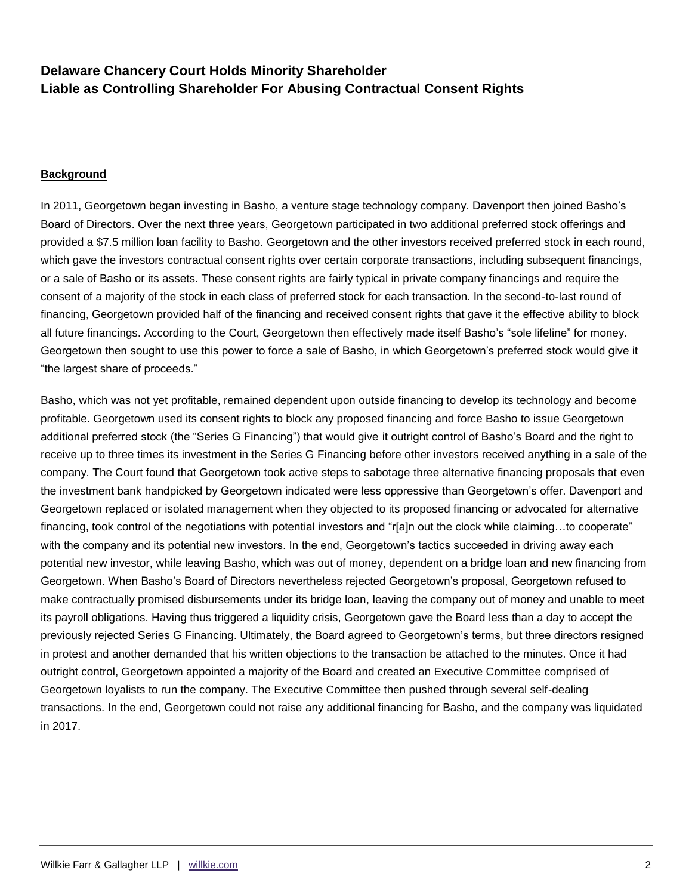#### **Background**

In 2011, Georgetown began investing in Basho, a venture stage technology company. Davenport then joined Basho's Board of Directors. Over the next three years, Georgetown participated in two additional preferred stock offerings and provided a \$7.5 million loan facility to Basho. Georgetown and the other investors received preferred stock in each round, which gave the investors contractual consent rights over certain corporate transactions, including subsequent financings, or a sale of Basho or its assets. These consent rights are fairly typical in private company financings and require the consent of a majority of the stock in each class of preferred stock for each transaction. In the second-to-last round of financing, Georgetown provided half of the financing and received consent rights that gave it the effective ability to block all future financings. According to the Court, Georgetown then effectively made itself Basho's "sole lifeline" for money. Georgetown then sought to use this power to force a sale of Basho, in which Georgetown's preferred stock would give it "the largest share of proceeds."

Basho, which was not yet profitable, remained dependent upon outside financing to develop its technology and become profitable. Georgetown used its consent rights to block any proposed financing and force Basho to issue Georgetown additional preferred stock (the "Series G Financing") that would give it outright control of Basho's Board and the right to receive up to three times its investment in the Series G Financing before other investors received anything in a sale of the company. The Court found that Georgetown took active steps to sabotage three alternative financing proposals that even the investment bank handpicked by Georgetown indicated were less oppressive than Georgetown's offer. Davenport and Georgetown replaced or isolated management when they objected to its proposed financing or advocated for alternative financing, took control of the negotiations with potential investors and "r[a]n out the clock while claiming...to cooperate" with the company and its potential new investors. In the end, Georgetown's tactics succeeded in driving away each potential new investor, while leaving Basho, which was out of money, dependent on a bridge loan and new financing from Georgetown. When Basho's Board of Directors nevertheless rejected Georgetown's proposal, Georgetown refused to make contractually promised disbursements under its bridge loan, leaving the company out of money and unable to meet its payroll obligations. Having thus triggered a liquidity crisis, Georgetown gave the Board less than a day to accept the previously rejected Series G Financing. Ultimately, the Board agreed to Georgetown's terms, but three directors resigned in protest and another demanded that his written objections to the transaction be attached to the minutes. Once it had outright control, Georgetown appointed a majority of the Board and created an Executive Committee comprised of Georgetown loyalists to run the company. The Executive Committee then pushed through several self-dealing transactions. In the end, Georgetown could not raise any additional financing for Basho, and the company was liquidated in 2017.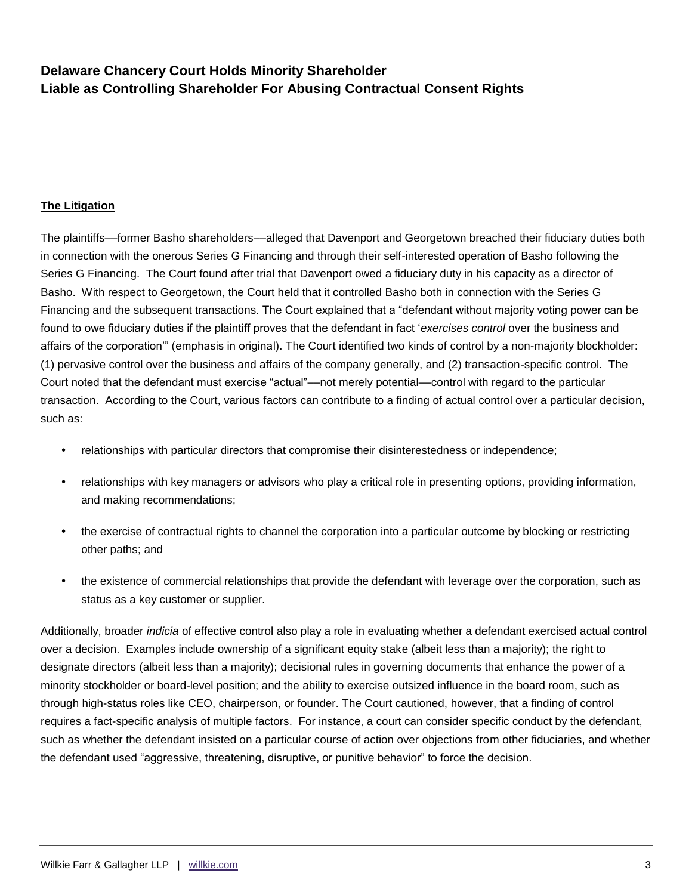#### **The Litigation**

The plaintiffs––former Basho shareholders––alleged that Davenport and Georgetown breached their fiduciary duties both in connection with the onerous Series G Financing and through their self-interested operation of Basho following the Series G Financing. The Court found after trial that Davenport owed a fiduciary duty in his capacity as a director of Basho. With respect to Georgetown, the Court held that it controlled Basho both in connection with the Series G Financing and the subsequent transactions. The Court explained that a "defendant without majority voting power can be found to owe fiduciary duties if the plaintiff proves that the defendant in fact '*exercises control* over the business and affairs of the corporation'" (emphasis in original). The Court identified two kinds of control by a non-majority blockholder: (1) pervasive control over the business and affairs of the company generally, and (2) transaction-specific control. The Court noted that the defendant must exercise "actual"––not merely potential––control with regard to the particular transaction. According to the Court, various factors can contribute to a finding of actual control over a particular decision, such as:

- relationships with particular directors that compromise their disinterestedness or independence;
- relationships with key managers or advisors who play a critical role in presenting options, providing information, and making recommendations;
- the exercise of contractual rights to channel the corporation into a particular outcome by blocking or restricting other paths; and
- the existence of commercial relationships that provide the defendant with leverage over the corporation, such as status as a key customer or supplier.

Additionally, broader *indicia* of effective control also play a role in evaluating whether a defendant exercised actual control over a decision. Examples include ownership of a significant equity stake (albeit less than a majority); the right to designate directors (albeit less than a majority); decisional rules in governing documents that enhance the power of a minority stockholder or board-level position; and the ability to exercise outsized influence in the board room, such as through high-status roles like CEO, chairperson, or founder. The Court cautioned, however, that a finding of control requires a fact-specific analysis of multiple factors. For instance, a court can consider specific conduct by the defendant, such as whether the defendant insisted on a particular course of action over objections from other fiduciaries, and whether the defendant used "aggressive, threatening, disruptive, or punitive behavior" to force the decision.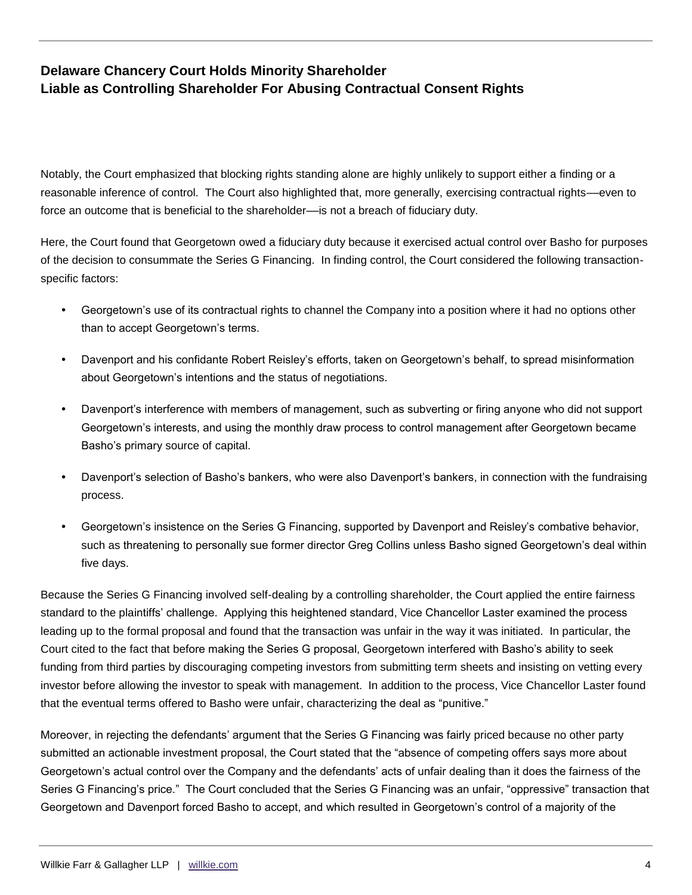Notably, the Court emphasized that blocking rights standing alone are highly unlikely to support either a finding or a reasonable inference of control. The Court also highlighted that, more generally, exercising contractual rights––even to force an outcome that is beneficial to the shareholder––is not a breach of fiduciary duty.

Here, the Court found that Georgetown owed a fiduciary duty because it exercised actual control over Basho for purposes of the decision to consummate the Series G Financing. In finding control, the Court considered the following transactionspecific factors:

- Georgetown's use of its contractual rights to channel the Company into a position where it had no options other than to accept Georgetown's terms.
- Davenport and his confidante Robert Reisley's efforts, taken on Georgetown's behalf, to spread misinformation about Georgetown's intentions and the status of negotiations.
- Davenport's interference with members of management, such as subverting or firing anyone who did not support Georgetown's interests, and using the monthly draw process to control management after Georgetown became Basho's primary source of capital.
- Davenport's selection of Basho's bankers, who were also Davenport's bankers, in connection with the fundraising process.
- Georgetown's insistence on the Series G Financing, supported by Davenport and Reisley's combative behavior, such as threatening to personally sue former director Greg Collins unless Basho signed Georgetown's deal within five days.

Because the Series G Financing involved self-dealing by a controlling shareholder, the Court applied the entire fairness standard to the plaintiffs' challenge. Applying this heightened standard, Vice Chancellor Laster examined the process leading up to the formal proposal and found that the transaction was unfair in the way it was initiated. In particular, the Court cited to the fact that before making the Series G proposal, Georgetown interfered with Basho's ability to seek funding from third parties by discouraging competing investors from submitting term sheets and insisting on vetting every investor before allowing the investor to speak with management. In addition to the process, Vice Chancellor Laster found that the eventual terms offered to Basho were unfair, characterizing the deal as "punitive."

Moreover, in rejecting the defendants' argument that the Series G Financing was fairly priced because no other party submitted an actionable investment proposal, the Court stated that the "absence of competing offers says more about Georgetown's actual control over the Company and the defendants' acts of unfair dealing than it does the fairness of the Series G Financing's price." The Court concluded that the Series G Financing was an unfair, "oppressive" transaction that Georgetown and Davenport forced Basho to accept, and which resulted in Georgetown's control of a majority of the